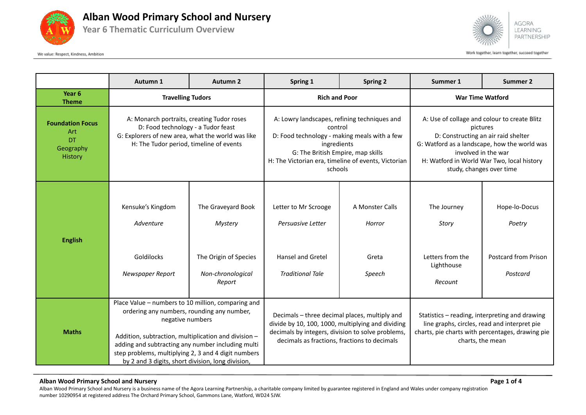

#### **Alban Wood Primary School and Nursery**

**Year 6 Thematic Curriculum Overview**





Work together, learn together, succeed together

|                                                                     | Autumn 1                                                                                                                                                                                                                                                                                                                                      | <b>Autumn 2</b>                                                                       | Spring 1                                                                                                                                                                                                                      | <b>Spring 2</b>                              | Summer 1                                                                                                                                                                                                                                         | <b>Summer 2</b>                                                    |
|---------------------------------------------------------------------|-----------------------------------------------------------------------------------------------------------------------------------------------------------------------------------------------------------------------------------------------------------------------------------------------------------------------------------------------|---------------------------------------------------------------------------------------|-------------------------------------------------------------------------------------------------------------------------------------------------------------------------------------------------------------------------------|----------------------------------------------|--------------------------------------------------------------------------------------------------------------------------------------------------------------------------------------------------------------------------------------------------|--------------------------------------------------------------------|
| Year <sub>6</sub><br><b>Theme</b>                                   | <b>Travelling Tudors</b>                                                                                                                                                                                                                                                                                                                      |                                                                                       | <b>Rich and Poor</b>                                                                                                                                                                                                          |                                              | <b>War Time Watford</b>                                                                                                                                                                                                                          |                                                                    |
| <b>Foundation Focus</b><br>Art<br>DT<br>Geography<br><b>History</b> | A: Monarch portraits, creating Tudor roses<br>D: Food technology - a Tudor feast<br>G: Explorers of new area, what the world was like<br>H: The Tudor period, timeline of events                                                                                                                                                              |                                                                                       | A: Lowry landscapes, refining techniques and<br>control<br>D: Food technology - making meals with a few<br>ingredients<br>G: The British Empire, map skills<br>H: The Victorian era, timeline of events, Victorian<br>schools |                                              | A: Use of collage and colour to create Blitz<br>pictures<br>D: Constructing an air raid shelter<br>G: Watford as a landscape, how the world was<br>involved in the war<br>H: Watford in World War Two, local history<br>study, changes over time |                                                                    |
| <b>English</b>                                                      | Kensuke's Kingdom<br>Adventure<br>Goldilocks<br>Newspaper Report                                                                                                                                                                                                                                                                              | The Graveyard Book<br>Mystery<br>The Origin of Species<br>Non-chronological<br>Report | Letter to Mr Scrooge<br>Persuasive Letter<br><b>Hansel and Gretel</b><br><b>Traditional Tale</b>                                                                                                                              | A Monster Calls<br>Horror<br>Greta<br>Speech | The Journey<br>Story<br>Letters from the<br>Lighthouse<br>Recount                                                                                                                                                                                | Hope-lo-Docus<br>Poetry<br><b>Postcard from Prison</b><br>Postcard |
| <b>Maths</b>                                                        | Place Value - numbers to 10 million, comparing and<br>ordering any numbers, rounding any number,<br>negative numbers<br>Addition, subtraction, multiplication and division -<br>adding and subtracting any number including multi<br>step problems, multiplying 2, 3 and 4 digit numbers<br>by 2 and 3 digits, short division, long division, |                                                                                       | Decimals - three decimal places, multiply and<br>divide by 10, 100, 1000, multiplying and dividing<br>decimals by integers, division to solve problems,<br>decimals as fractions, fractions to decimals                       |                                              | Statistics - reading, interpreting and drawing<br>line graphs, circles, read and interpret pie<br>charts, pie charts with percentages, drawing pie<br>charts, the mean                                                                           |                                                                    |

#### **Alban Wood Primary School and Nursery Page 1 of 4**

Alban Wood Primary School and Nursery is a business name of the Agora Learning Partnership, a charitable company limited by guarantee registered in England and Wales under company registration number 10290954 at registered address The Orchard Primary School, Gammons Lane, Watford, WD24 5JW.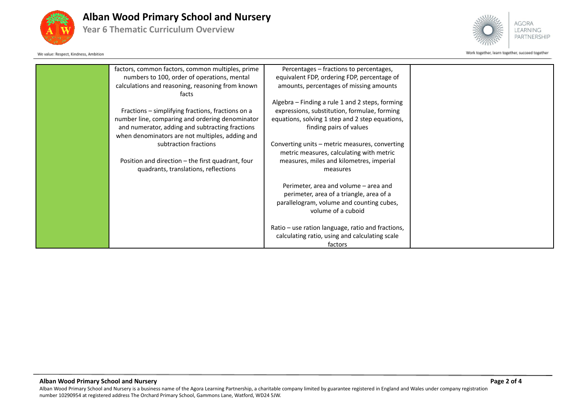

### **Alban Wood Primary School and Nursery**

**Year 6 Thematic Curriculum Overview**

We value: Respect, Kindness, Ambition



Work together, learn together, succeed together

| factors, common factors, common multiples, prime<br>numbers to 100, order of operations, mental<br>calculations and reasoning, reasoning from known<br>facts                                               | Percentages - fractions to percentages,<br>equivalent FDP, ordering FDP, percentage of<br>amounts, percentages of missing amounts                                             |  |
|------------------------------------------------------------------------------------------------------------------------------------------------------------------------------------------------------------|-------------------------------------------------------------------------------------------------------------------------------------------------------------------------------|--|
| Fractions - simplifying fractions, fractions on a<br>number line, comparing and ordering denominator<br>and numerator, adding and subtracting fractions<br>when denominators are not multiples, adding and | Algebra - Finding a rule 1 and 2 steps, forming<br>expressions, substitution, formulae, forming<br>equations, solving 1 step and 2 step equations,<br>finding pairs of values |  |
| subtraction fractions<br>Position and direction – the first quadrant, four<br>quadrants, translations, reflections                                                                                         | Converting units - metric measures, converting<br>metric measures, calculating with metric<br>measures, miles and kilometres, imperial<br>measures                            |  |
|                                                                                                                                                                                                            | Perimeter, area and volume - area and<br>perimeter, area of a triangle, area of a<br>parallelogram, volume and counting cubes,<br>volume of a cuboid                          |  |
|                                                                                                                                                                                                            | Ratio – use ration language, ratio and fractions,<br>calculating ratio, using and calculating scale<br>factors                                                                |  |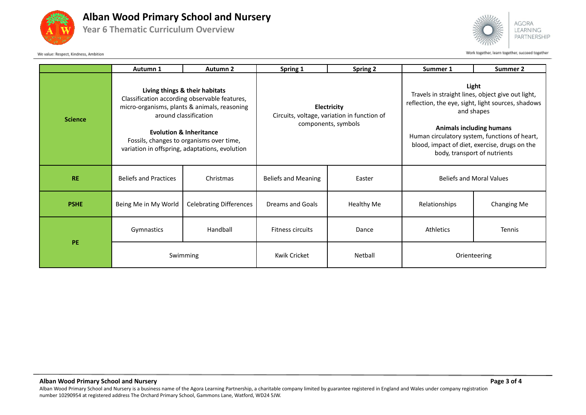

## **Alban Wood Primary School and Nursery**

**Year 6 Thematic Curriculum Overview**





Work together, learn together, succeed together

|                | Autumn 1                                                                                                                                                                                                                                                                                     | Autumn 2                       | Spring 1                                                                          | <b>Spring 2</b>   | Summer 1                                                                                                                                                                                                                                                                                            | Summer 2           |
|----------------|----------------------------------------------------------------------------------------------------------------------------------------------------------------------------------------------------------------------------------------------------------------------------------------------|--------------------------------|-----------------------------------------------------------------------------------|-------------------|-----------------------------------------------------------------------------------------------------------------------------------------------------------------------------------------------------------------------------------------------------------------------------------------------------|--------------------|
| <b>Science</b> | Living things & their habitats<br>Classification according observable features,<br>micro-organisms, plants & animals, reasoning<br>around classification<br><b>Evolution &amp; Inheritance</b><br>Fossils, changes to organisms over time,<br>variation in offspring, adaptations, evolution |                                | Electricity<br>Circuits, voltage, variation in function of<br>components, symbols |                   | Light<br>Travels in straight lines, object give out light,<br>reflection, the eye, sight, light sources, shadows<br>and shapes<br><b>Animals including humans</b><br>Human circulatory system, functions of heart,<br>blood, impact of diet, exercise, drugs on the<br>body, transport of nutrients |                    |
| <b>RE</b>      | <b>Beliefs and Practices</b>                                                                                                                                                                                                                                                                 | Christmas                      | <b>Beliefs and Meaning</b>                                                        | Easter            | <b>Beliefs and Moral Values</b>                                                                                                                                                                                                                                                                     |                    |
| <b>PSHE</b>    | Being Me in My World                                                                                                                                                                                                                                                                         | <b>Celebrating Differences</b> | Dreams and Goals                                                                  | <b>Healthy Me</b> | Relationships                                                                                                                                                                                                                                                                                       | <b>Changing Me</b> |
| PE             | Gymnastics                                                                                                                                                                                                                                                                                   | Handball                       | <b>Fitness circuits</b>                                                           | Dance             | Athletics                                                                                                                                                                                                                                                                                           | <b>Tennis</b>      |
|                | Swimming                                                                                                                                                                                                                                                                                     |                                | Kwik Cricket                                                                      | Netball           | Orienteering                                                                                                                                                                                                                                                                                        |                    |